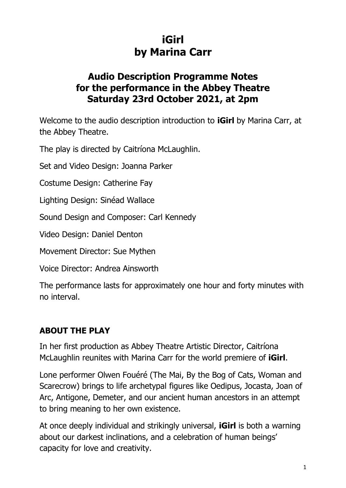# **iGirl by Marina Carr**

## **Audio Description Programme Notes for the performance in the Abbey Theatre Saturday 23rd October 2021, at 2pm**

Welcome to the audio description introduction to **iGirl** by Marina Carr, at the Abbey Theatre.

The play is directed by Caitríona McLaughlin.

Set and Video Design: Joanna Parker

Costume Design: Catherine Fay

Lighting Design: Sinéad Wallace

Sound Design and Composer: Carl Kennedy

Video Design: Daniel Denton

Movement Director: Sue Mythen

Voice Director: Andrea Ainsworth

The performance lasts for approximately one hour and forty minutes with no interval.

#### **ABOUT THE PLAY**

In her first production as Abbey Theatre Artistic Director, Caitríona McLaughlin reunites with Marina Carr for the world premiere of **iGirl**.

Lone performer Olwen Fouéré (The Mai, By the Bog of Cats, Woman and Scarecrow) brings to life archetypal figures like Oedipus, Jocasta, Joan of Arc, Antigone, Demeter, and our ancient human ancestors in an attempt to bring meaning to her own existence.

At once deeply individual and strikingly universal, **iGirl** is both a warning about our darkest inclinations, and a celebration of human beings' capacity for love and creativity.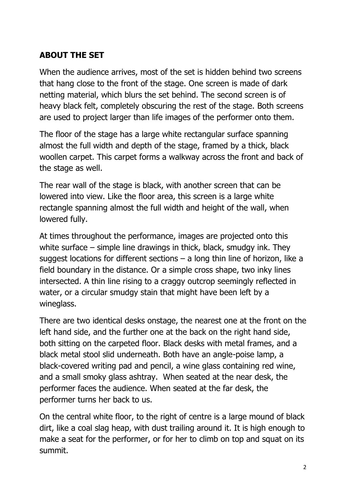#### **ABOUT THE SET**

When the audience arrives, most of the set is hidden behind two screens that hang close to the front of the stage. One screen is made of dark netting material, which blurs the set behind. The second screen is of heavy black felt, completely obscuring the rest of the stage. Both screens are used to project larger than life images of the performer onto them.

The floor of the stage has a large white rectangular surface spanning almost the full width and depth of the stage, framed by a thick, black woollen carpet. This carpet forms a walkway across the front and back of the stage as well.

The rear wall of the stage is black, with another screen that can be lowered into view. Like the floor area, this screen is a large white rectangle spanning almost the full width and height of the wall, when lowered fully.

At times throughout the performance, images are projected onto this white surface – simple line drawings in thick, black, smudgy ink. They suggest locations for different sections  $-$  a long thin line of horizon, like a field boundary in the distance. Or a simple cross shape, two inky lines intersected. A thin line rising to a craggy outcrop seemingly reflected in water, or a circular smudgy stain that might have been left by a wineglass.

There are two identical desks onstage, the nearest one at the front on the left hand side, and the further one at the back on the right hand side, both sitting on the carpeted floor. Black desks with metal frames, and a black metal stool slid underneath. Both have an angle-poise lamp, a black-covered writing pad and pencil, a wine glass containing red wine, and a small smoky glass ashtray. When seated at the near desk, the performer faces the audience. When seated at the far desk, the performer turns her back to us.

On the central white floor, to the right of centre is a large mound of black dirt, like a coal slag heap, with dust trailing around it. It is high enough to make a seat for the performer, or for her to climb on top and squat on its summit.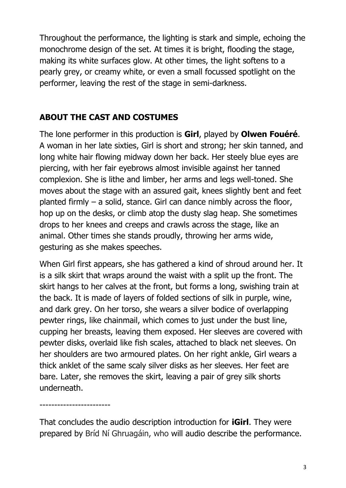Throughout the performance, the lighting is stark and simple, echoing the monochrome design of the set. At times it is bright, flooding the stage, making its white surfaces glow. At other times, the light softens to a pearly grey, or creamy white, or even a small focussed spotlight on the performer, leaving the rest of the stage in semi-darkness.

### **ABOUT THE CAST AND COSTUMES**

The lone performer in this production is **Girl**, played by **Olwen Fouéré**. A woman in her late sixties, Girl is short and strong; her skin tanned, and long white hair flowing midway down her back. Her steely blue eyes are piercing, with her fair eyebrows almost invisible against her tanned complexion. She is lithe and limber, her arms and legs well-toned. She moves about the stage with an assured gait, knees slightly bent and feet planted firmly – a solid, stance. Girl can dance nimbly across the floor, hop up on the desks, or climb atop the dusty slag heap. She sometimes drops to her knees and creeps and crawls across the stage, like an animal. Other times she stands proudly, throwing her arms wide, gesturing as she makes speeches.

When Girl first appears, she has gathered a kind of shroud around her. It is a silk skirt that wraps around the waist with a split up the front. The skirt hangs to her calves at the front, but forms a long, swishing train at the back. It is made of layers of folded sections of silk in purple, wine, and dark grey. On her torso, she wears a silver bodice of overlapping pewter rings, like chainmail, which comes to just under the bust line, cupping her breasts, leaving them exposed. Her sleeves are covered with pewter disks, overlaid like fish scales, attached to black net sleeves. On her shoulders are two armoured plates. On her right ankle, Girl wears a thick anklet of the same scaly silver disks as her sleeves. Her feet are bare. Later, she removes the skirt, leaving a pair of grey silk shorts underneath.

------------------------

That concludes the audio description introduction for **iGirl**. They were prepared by Bríd Ní Ghruagáin, who will audio describe the performance.